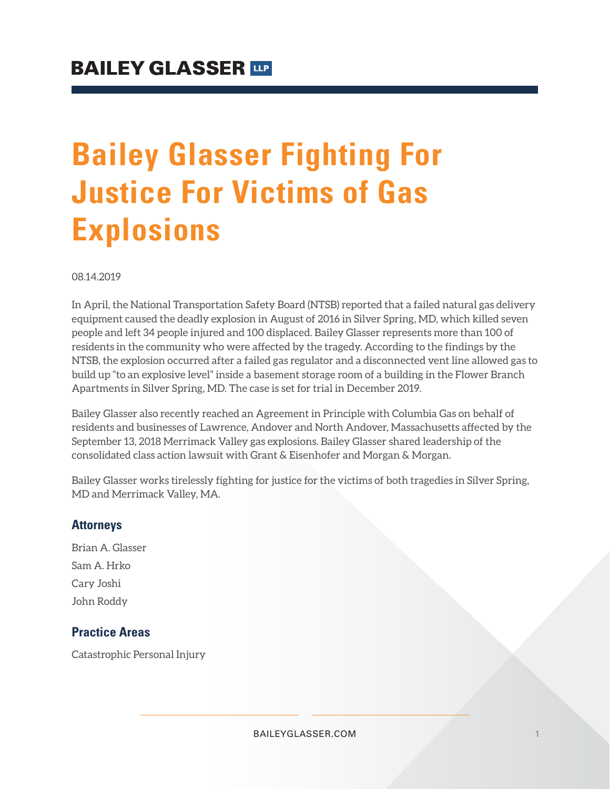## **Bailey Glasser Fighting For Justice For Victims of Gas Explosions**

08.14.2019

In April, the National Transportation Safety Board (NTSB) reported that a failed natural gas delivery equipment caused the deadly explosion in August of 2016 in Silver Spring, MD, which killed seven people and left 34 people injured and 100 displaced. Bailey Glasser represents more than 100 of residents in the community who were affected by the tragedy. According to the findings by the NTSB, the explosion occurred after a failed gas regulator and a disconnected vent line allowed gas to build up "to an explosive level" inside a basement storage room of a building in the Flower Branch Apartments in Silver Spring, MD. The case is set for trial in December 2019.

Bailey Glasser also recently reached an Agreement in Principle with Columbia Gas on behalf of residents and businesses of Lawrence, Andover and North Andover, Massachusetts affected by the September 13, 2018 Merrimack Valley gas explosions. Bailey Glasser shared leadership of the consolidated class action lawsuit with Grant & Eisenhofer and Morgan & Morgan.

Bailey Glasser works tirelessly fighting for justice for the victims of both tragedies in Silver Spring, MD and Merrimack Valley, MA.

## **Attorneys**

Brian A. Glasser Sam A. Hrko Cary Joshi John Roddy

## **Practice Areas**

Catastrophic Personal Injury